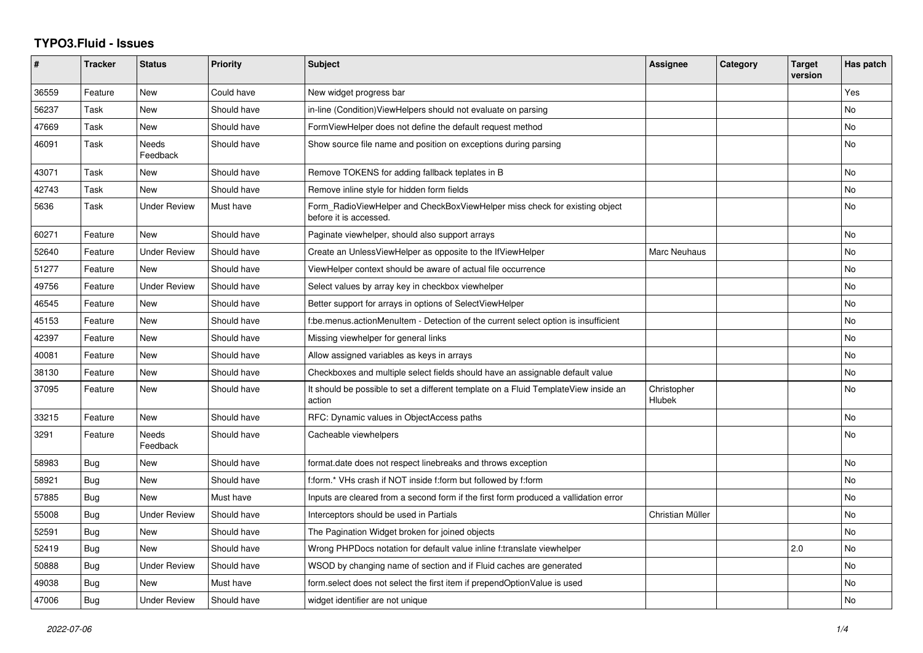## **TYPO3.Fluid - Issues**

| #     | <b>Tracker</b> | <b>Status</b>       | <b>Priority</b> | <b>Subject</b>                                                                                       | Assignee              | Category | <b>Target</b><br>version | Has patch |
|-------|----------------|---------------------|-----------------|------------------------------------------------------------------------------------------------------|-----------------------|----------|--------------------------|-----------|
| 36559 | Feature        | New                 | Could have      | New widget progress bar                                                                              |                       |          |                          | Yes       |
| 56237 | Task           | <b>New</b>          | Should have     | in-line (Condition) ViewHelpers should not evaluate on parsing                                       |                       |          |                          | No        |
| 47669 | Task           | New                 | Should have     | FormViewHelper does not define the default request method                                            |                       |          |                          | No        |
| 46091 | Task           | Needs<br>Feedback   | Should have     | Show source file name and position on exceptions during parsing                                      |                       |          |                          | No        |
| 43071 | Task           | <b>New</b>          | Should have     | Remove TOKENS for adding fallback teplates in B                                                      |                       |          |                          | <b>No</b> |
| 42743 | Task           | New                 | Should have     | Remove inline style for hidden form fields                                                           |                       |          |                          | No        |
| 5636  | Task           | <b>Under Review</b> | Must have       | Form RadioViewHelper and CheckBoxViewHelper miss check for existing object<br>before it is accessed. |                       |          |                          | No        |
| 60271 | Feature        | New                 | Should have     | Paginate viewhelper, should also support arrays                                                      |                       |          |                          | <b>No</b> |
| 52640 | Feature        | <b>Under Review</b> | Should have     | Create an UnlessViewHelper as opposite to the IfViewHelper                                           | Marc Neuhaus          |          |                          | No        |
| 51277 | Feature        | New                 | Should have     | ViewHelper context should be aware of actual file occurrence                                         |                       |          |                          | No        |
| 49756 | Feature        | <b>Under Review</b> | Should have     | Select values by array key in checkbox viewhelper                                                    |                       |          |                          | No        |
| 46545 | Feature        | New                 | Should have     | Better support for arrays in options of SelectViewHelper                                             |                       |          |                          | <b>No</b> |
| 45153 | Feature        | New                 | Should have     | f:be.menus.actionMenuItem - Detection of the current select option is insufficient                   |                       |          |                          | No        |
| 42397 | Feature        | <b>New</b>          | Should have     | Missing viewhelper for general links                                                                 |                       |          |                          | No        |
| 40081 | Feature        | New                 | Should have     | Allow assigned variables as keys in arrays                                                           |                       |          |                          | No        |
| 38130 | Feature        | New                 | Should have     | Checkboxes and multiple select fields should have an assignable default value                        |                       |          |                          | No        |
| 37095 | Feature        | New                 | Should have     | It should be possible to set a different template on a Fluid TemplateView inside an<br>action        | Christopher<br>Hlubek |          |                          | <b>No</b> |
| 33215 | Feature        | New                 | Should have     | RFC: Dynamic values in ObjectAccess paths                                                            |                       |          |                          | <b>No</b> |
| 3291  | Feature        | Needs<br>Feedback   | Should have     | Cacheable viewhelpers                                                                                |                       |          |                          | No.       |
| 58983 | Bug            | <b>New</b>          | Should have     | format.date does not respect linebreaks and throws exception                                         |                       |          |                          | No        |
| 58921 | Bug            | New                 | Should have     | f:form.* VHs crash if NOT inside f:form but followed by f:form                                       |                       |          |                          | No        |
| 57885 | Bug            | New                 | Must have       | Inputs are cleared from a second form if the first form produced a vallidation error                 |                       |          |                          | No        |
| 55008 | Bug            | <b>Under Review</b> | Should have     | Interceptors should be used in Partials                                                              | Christian Müller      |          |                          | No        |
| 52591 | <b>Bug</b>     | <b>New</b>          | Should have     | The Pagination Widget broken for joined objects                                                      |                       |          |                          | <b>No</b> |
| 52419 | Bug            | <b>New</b>          | Should have     | Wrong PHPDocs notation for default value inline f:translate viewhelper                               |                       |          | 2.0                      | No        |
| 50888 | Bug            | <b>Under Review</b> | Should have     | WSOD by changing name of section and if Fluid caches are generated                                   |                       |          |                          | <b>No</b> |
| 49038 | Bug            | <b>New</b>          | Must have       | form.select does not select the first item if prependOptionValue is used                             |                       |          |                          | No        |
| 47006 | Bug            | <b>Under Review</b> | Should have     | widget identifier are not unique                                                                     |                       |          |                          | No        |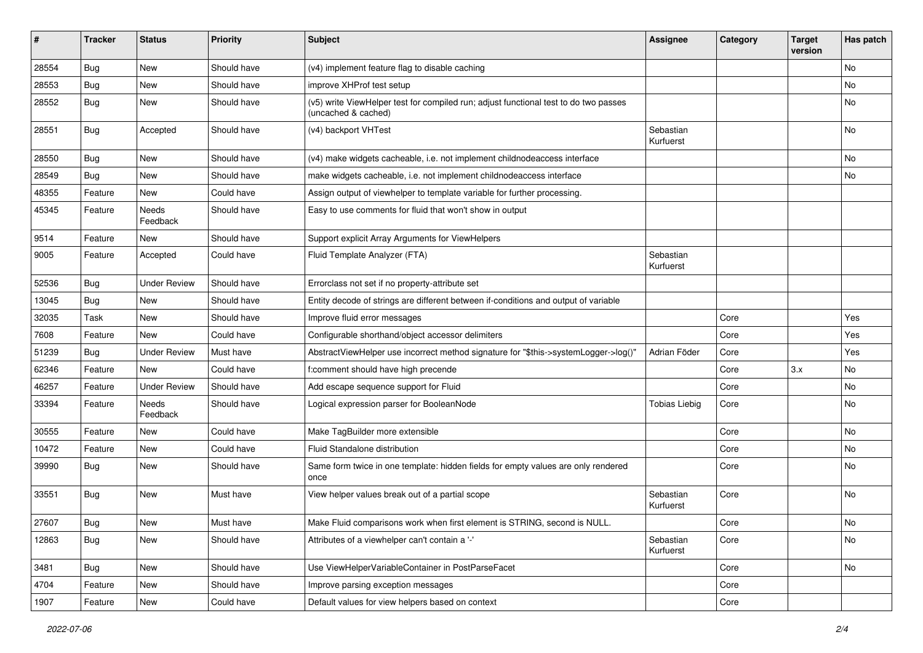| #     | <b>Tracker</b> | <b>Status</b>       | <b>Priority</b> | <b>Subject</b>                                                                                              | Assignee               | Category | <b>Target</b><br>version | Has patch     |
|-------|----------------|---------------------|-----------------|-------------------------------------------------------------------------------------------------------------|------------------------|----------|--------------------------|---------------|
| 28554 | Bug            | New                 | Should have     | (v4) implement feature flag to disable caching                                                              |                        |          |                          | <b>No</b>     |
| 28553 | Bug            | New                 | Should have     | improve XHProf test setup                                                                                   |                        |          |                          | No            |
| 28552 | Bug            | New                 | Should have     | (v5) write ViewHelper test for compiled run; adjust functional test to do two passes<br>(uncached & cached) |                        |          |                          | No            |
| 28551 | Bug            | Accepted            | Should have     | (v4) backport VHTest                                                                                        | Sebastian<br>Kurfuerst |          |                          | <b>No</b>     |
| 28550 | Bug            | New                 | Should have     | (v4) make widgets cacheable, i.e. not implement childnodeaccess interface                                   |                        |          |                          | No            |
| 28549 | Bug            | New                 | Should have     | make widgets cacheable, i.e. not implement childnodeaccess interface                                        |                        |          |                          | No            |
| 48355 | Feature        | New                 | Could have      | Assign output of viewhelper to template variable for further processing.                                    |                        |          |                          |               |
| 45345 | Feature        | Needs<br>Feedback   | Should have     | Easy to use comments for fluid that won't show in output                                                    |                        |          |                          |               |
| 9514  | Feature        | New                 | Should have     | Support explicit Array Arguments for ViewHelpers                                                            |                        |          |                          |               |
| 9005  | Feature        | Accepted            | Could have      | Fluid Template Analyzer (FTA)                                                                               | Sebastian<br>Kurfuerst |          |                          |               |
| 52536 | Bug            | <b>Under Review</b> | Should have     | Errorclass not set if no property-attribute set                                                             |                        |          |                          |               |
| 13045 | Bug            | New                 | Should have     | Entity decode of strings are different between if-conditions and output of variable                         |                        |          |                          |               |
| 32035 | Task           | <b>New</b>          | Should have     | Improve fluid error messages                                                                                |                        | Core     |                          | Yes           |
| 7608  | Feature        | New                 | Could have      | Configurable shorthand/object accessor delimiters                                                           |                        | Core     |                          | Yes           |
| 51239 | Bug            | <b>Under Review</b> | Must have       | AbstractViewHelper use incorrect method signature for "\$this->systemLogger->log()"                         | Adrian Föder           | Core     |                          | Yes           |
| 62346 | Feature        | <b>New</b>          | Could have      | f:comment should have high precende                                                                         |                        | Core     | 3.x                      | <b>No</b>     |
| 46257 | Feature        | <b>Under Review</b> | Should have     | Add escape sequence support for Fluid                                                                       |                        | Core     |                          | No            |
| 33394 | Feature        | Needs<br>Feedback   | Should have     | Logical expression parser for BooleanNode                                                                   | <b>Tobias Liebig</b>   | Core     |                          | <b>No</b>     |
| 30555 | Feature        | New                 | Could have      | Make TagBuilder more extensible                                                                             |                        | Core     |                          | <b>No</b>     |
| 10472 | Feature        | <b>New</b>          | Could have      | Fluid Standalone distribution                                                                               |                        | Core     |                          | No            |
| 39990 | Bug            | New                 | Should have     | Same form twice in one template: hidden fields for empty values are only rendered<br>once                   |                        | Core     |                          | No            |
| 33551 | <b>Bug</b>     | <b>New</b>          | Must have       | View helper values break out of a partial scope                                                             | Sebastian<br>Kurfuerst | Core     |                          | <b>No</b>     |
| 27607 | <b>Bug</b>     | New                 | Must have       | Make Fluid comparisons work when first element is STRING, second is NULL.                                   |                        | Core     |                          | $\mathsf{No}$ |
| 12863 | Bug            | New                 | Should have     | Attributes of a viewhelper can't contain a '-'                                                              | Sebastian<br>Kurfuerst | Core     |                          | No            |
| 3481  | <b>Bug</b>     | New                 | Should have     | Use ViewHelperVariableContainer in PostParseFacet                                                           |                        | Core     |                          | No            |
| 4704  | Feature        | New                 | Should have     | Improve parsing exception messages                                                                          |                        | Core     |                          |               |
| 1907  | Feature        | New                 | Could have      | Default values for view helpers based on context                                                            |                        | Core     |                          |               |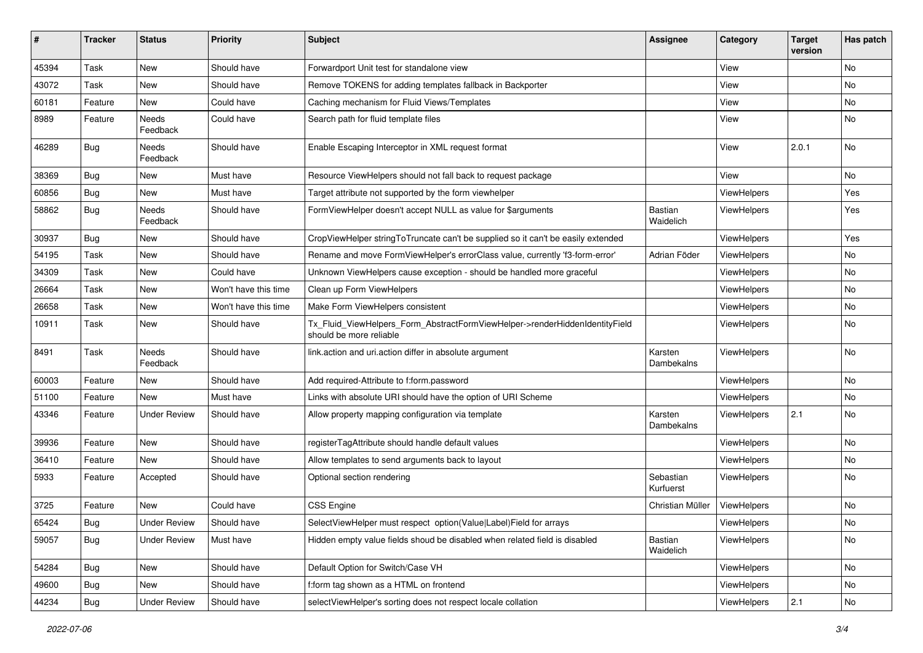| #     | <b>Tracker</b> | <b>Status</b>       | <b>Priority</b>      | Subject                                                                                                | <b>Assignee</b>             | Category    | <b>Target</b><br>version | Has patch     |
|-------|----------------|---------------------|----------------------|--------------------------------------------------------------------------------------------------------|-----------------------------|-------------|--------------------------|---------------|
| 45394 | Task           | New                 | Should have          | Forwardport Unit test for standalone view                                                              |                             | View        |                          | <b>No</b>     |
| 43072 | Task           | New                 | Should have          | Remove TOKENS for adding templates fallback in Backporter                                              |                             | View        |                          | No            |
| 60181 | Feature        | New                 | Could have           | Caching mechanism for Fluid Views/Templates                                                            |                             | View        |                          | No            |
| 8989  | Feature        | Needs<br>Feedback   | Could have           | Search path for fluid template files                                                                   |                             | View        |                          | No            |
| 46289 | Bug            | Needs<br>Feedback   | Should have          | Enable Escaping Interceptor in XML request format                                                      |                             | View        | 2.0.1                    | No            |
| 38369 | <b>Bug</b>     | New                 | Must have            | Resource ViewHelpers should not fall back to request package                                           |                             | View        |                          | No            |
| 60856 | Bug            | New                 | Must have            | Target attribute not supported by the form viewhelper                                                  |                             | ViewHelpers |                          | Yes           |
| 58862 | Bug            | Needs<br>Feedback   | Should have          | FormViewHelper doesn't accept NULL as value for \$arguments                                            | <b>Bastian</b><br>Waidelich | ViewHelpers |                          | Yes           |
| 30937 | Bug            | New                 | Should have          | CropViewHelper stringToTruncate can't be supplied so it can't be easily extended                       |                             | ViewHelpers |                          | Yes           |
| 54195 | Task           | New                 | Should have          | Rename and move FormViewHelper's errorClass value, currently 'f3-form-error'                           | Adrian Föder                | ViewHelpers |                          | No            |
| 34309 | Task           | New                 | Could have           | Unknown ViewHelpers cause exception - should be handled more graceful                                  |                             | ViewHelpers |                          | No            |
| 26664 | Task           | New                 | Won't have this time | Clean up Form ViewHelpers                                                                              |                             | ViewHelpers |                          | No            |
| 26658 | Task           | New                 | Won't have this time | Make Form ViewHelpers consistent                                                                       |                             | ViewHelpers |                          | No            |
| 10911 | Task           | New                 | Should have          | Tx_Fluid_ViewHelpers_Form_AbstractFormViewHelper->renderHiddenIdentityField<br>should be more reliable |                             | ViewHelpers |                          | No            |
| 8491  | Task           | Needs<br>Feedback   | Should have          | link.action and uri.action differ in absolute argument                                                 | Karsten<br>Dambekalns       | ViewHelpers |                          | No            |
| 60003 | Feature        | New                 | Should have          | Add required-Attribute to f:form.password                                                              |                             | ViewHelpers |                          | No            |
| 51100 | Feature        | New                 | Must have            | Links with absolute URI should have the option of URI Scheme                                           |                             | ViewHelpers |                          | No            |
| 43346 | Feature        | Under Review        | Should have          | Allow property mapping configuration via template                                                      | Karsten<br>Dambekalns       | ViewHelpers | 2.1                      | No            |
| 39936 | Feature        | New                 | Should have          | registerTagAttribute should handle default values                                                      |                             | ViewHelpers |                          | No            |
| 36410 | Feature        | New                 | Should have          | Allow templates to send arguments back to layout                                                       |                             | ViewHelpers |                          | No            |
| 5933  | Feature        | Accepted            | Should have          | Optional section rendering                                                                             | Sebastian<br>Kurfuerst      | ViewHelpers |                          | No            |
| 3725  | Feature        | New                 | Could have           | <b>CSS Engine</b>                                                                                      | Christian Müller            | ViewHelpers |                          | No            |
| 65424 | <b>Bug</b>     | <b>Under Review</b> | Should have          | SelectViewHelper must respect option(Value Label)Field for arrays                                      |                             | ViewHelpers |                          | $\mathsf{No}$ |
| 59057 | Bug            | <b>Under Review</b> | Must have            | Hidden empty value fields shoud be disabled when related field is disabled                             | Bastian<br>Waidelich        | ViewHelpers |                          | No            |
| 54284 | Bug            | New                 | Should have          | Default Option for Switch/Case VH                                                                      |                             | ViewHelpers |                          | No            |
| 49600 | Bug            | New                 | Should have          | f:form tag shown as a HTML on frontend                                                                 |                             | ViewHelpers |                          | No            |
| 44234 | <b>Bug</b>     | <b>Under Review</b> | Should have          | selectViewHelper's sorting does not respect locale collation                                           |                             | ViewHelpers | 2.1                      | No            |